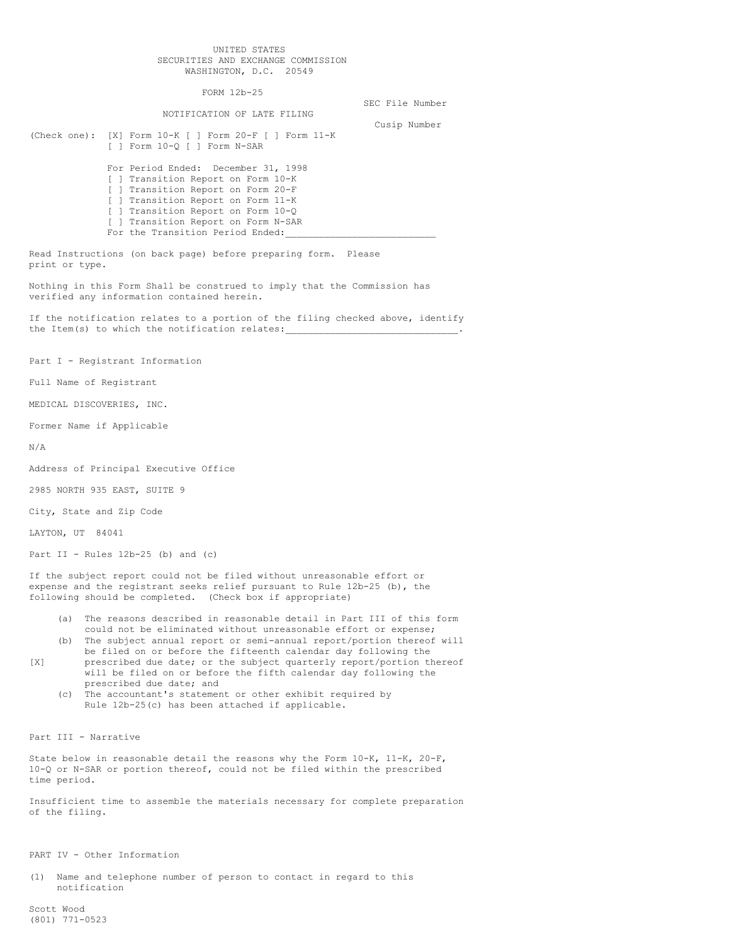## UNITED STATES SECURITIES AND EXCHANGE COMMISSION WASHINGTON, D.C. 20549

FORM 12b-25

## NOTIFICATION OF LATE FILING

SEC File Number Cusip Number

(Check one): [X] Form 10-K [ ] Form 20-F [ ] Form 11-K [ ] Form 10-Q [ ] Form N-SAR For Period Ended: December 31, 1998

[ ] Transition Report on Form 10-K [ ] Transition Report on Form 20-F [ ] Transition Report on Form 11-K [ ] Transition Report on Form 10-Q [ ] Transition Report on Form N-SAR For the Transition Period Ended:

Read Instructions (on back page) before preparing form. Please print or type.

Nothing in this Form Shall be construed to imply that the Commission has verified any information contained herein.

If the notification relates to a portion of the filing checked above, identify the Item(s) to which the notification relates:

Part I - Registrant Information

Full Name of Registrant

MEDICAL DISCOVERIES, INC.

Former Name if Applicable

N/A

Address of Principal Executive Office

2985 NORTH 935 EAST, SUITE 9

City, State and Zip Code

LAYTON, UT 84041

Part II - Rules  $12b-25$  (b) and (c)

If the subject report could not be filed without unreasonable effort or expense and the registrant seeks relief pursuant to Rule 12b-25 (b), the following should be completed. (Check box if appropriate)

- (a) The reasons described in reasonable detail in Part III of this form could not be eliminated without unreasonable effort or expense;
- (b) The subject annual report or semi-annual report/portion thereof will be filed on or before the fifteenth calendar day following the
- [X] prescribed due date; or the subject quarterly report/portion thereof will be filed on or before the fifth calendar day following the prescribed due date; and
	- (c) The accountant's statement or other exhibit required by Rule 12b-25(c) has been attached if applicable.

Part III - Narrative

State below in reasonable detail the reasons why the Form 10-K, 11-K, 20-F, 10-Q or N-SAR or portion thereof, could not be filed within the prescribed time period.

Insufficient time to assemble the materials necessary for complete preparation of the filing.

PART IV - Other Information

(1) Name and telephone number of person to contact in regard to this notification

Scott Wood (801) 771-0523